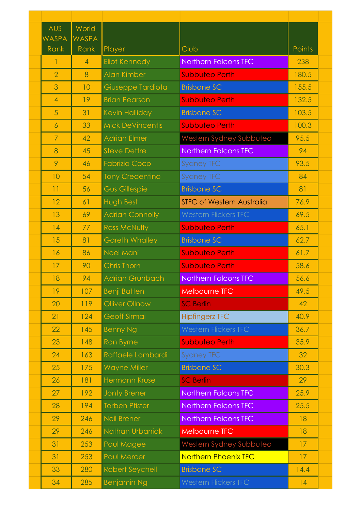| <b>AUS</b>     | World                |                         |                                  |        |  |
|----------------|----------------------|-------------------------|----------------------------------|--------|--|
| WASPA<br>Rank  | <b>WASPA</b><br>Rank | Player                  | Club                             | Points |  |
| 1              | $\overline{4}$       | <b>Eliot Kennedy</b>    | <b>Northern Falcons TFC</b>      | 238    |  |
| $\overline{2}$ | 8                    | <b>Alan Kimber</b>      | <b>Subbuteo Perth</b>            | 180.5  |  |
| 3              | 10                   | Giuseppe Tardiota       | <b>Brisbane SC</b>               | 155.5  |  |
| $\overline{4}$ | 19                   | <b>Brian Pearson</b>    | <b>Subbuteo Perth</b>            | 132.5  |  |
| 5              | 31                   | Kevin Halliday          | <b>Brisbane SC</b>               | 103.5  |  |
| $\overline{6}$ | 33                   | <b>Mick DeVincentis</b> | <b>Subbuteo Perth</b>            | 100.3  |  |
| $\mathcal{I}$  | 42                   | <b>Adrian Elmer</b>     | Western Sydney Subbuteo          | 95.5   |  |
| 8              | 45                   | <b>Steve Dettre</b>     | <b>Northern Falcons TFC</b>      | 94     |  |
| 9              | 46                   | <b>Fabrizio Coco</b>    | <b>Sydney TFC</b>                | 93.5   |  |
| 10             | 54                   | <b>Tony Credentino</b>  | Sydney TFC                       | 84     |  |
| 11             | 56                   | <b>Gus Gillespie</b>    | <b>Brisbane SC</b>               | 81     |  |
| 12             | 61                   | Hugh Best               | <b>STFC of Western Australia</b> | 76.9   |  |
| 13             | 69                   | <b>Adrian Connolly</b>  | <b>Western Flickers TFC</b>      | 69.5   |  |
| 14             | 77                   | <b>Ross McNulty</b>     | <b>Subbuteo Perth</b>            | 65.1   |  |
| 15             | 81                   | <b>Gareth Whalley</b>   | <b>Brisbane SC</b>               | 62.7   |  |
| 16             | 86                   | Noel Mani               | <b>Subbuteo Perth</b>            | 61.7   |  |
| 17             | 90                   | <b>Chris Thorn</b>      | <b>Subbuteo Perth</b>            | 58.6   |  |
| 18             | 94                   | <b>Adrian Grunbach</b>  | <b>Northern Falcons TFC</b>      | 56.6   |  |
| 19             | 107                  | <b>Benji Batten</b>     | <b>Melbourne TFC</b>             | 49.5   |  |
| 20             | 119                  | <b>Olliver Ollnow</b>   | <b>SC Berlin</b>                 | 42     |  |
| 21             | 124                  | <b>Geoff Sirmai</b>     | <b>Hipfingerz TFC</b>            | 40.9   |  |
| 22             | 145                  | <b>Benny Ng</b>         | <b>Western Flickers TFC</b>      | 36.7   |  |
| 23             | 148                  | <b>Ron Byrne</b>        | <b>Subbuteo Perth</b>            | 35.9   |  |
| 24             | 163                  | Raffaele Lombardi       | <b>Sydney TFC</b>                | 32     |  |
| 25             | 175                  | <b>Wayne Miller</b>     | <b>Brisbane SC</b>               | 30.3   |  |
| 26             | 181                  | <b>Hermann Kruse</b>    | <b>SC Berlin</b>                 | 29     |  |
| 27             | 192                  | <b>Jonty Brener</b>     | <b>Northern Falcons TFC</b>      | 25.9   |  |
| 28             | 194                  | <b>Torben Pfister</b>   | <b>Northern Falcons TFC</b>      | 25.5   |  |
| 29             | 246                  | <b>Neil Brener</b>      | <b>Northern Falcons TFC</b>      | 18     |  |
| 29             | 246                  | Nathan Urbaniak         | <b>Melbourne TFC</b>             | 18     |  |
| 31             | 253                  | Paul Magee              | Western Sydney Subbuteo          | 17     |  |
| 31             | 253                  | <b>Paul Mercer</b>      | <b>Northern Phoenix TFC</b>      | 17     |  |
| 33             | 280                  | <b>Robert Seychell</b>  | <b>Brisbane SC</b>               | 14.4   |  |
| 34             | 285                  | <b>Benjamin Ng</b>      | <b>Western Flickers TFC</b>      | 14     |  |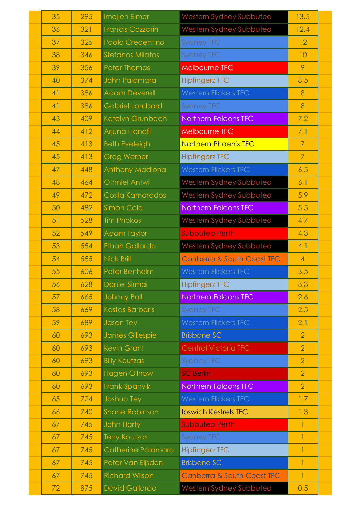| 35 | 295 | Imojjen Elmer           | Western Sydney Subbuteo               | 13.5           |  |
|----|-----|-------------------------|---------------------------------------|----------------|--|
| 36 | 321 | <b>Francis Cozzarin</b> | Western Sydney Subbuteo               | 12.4           |  |
| 37 | 325 | Paolo Credentino        | <b>Sydney TFC</b>                     | 12             |  |
| 38 | 346 | <b>Stefanos Milatos</b> | <b>Sydney TFC</b>                     | 10             |  |
| 39 | 356 | <b>Peter Thomas</b>     | <b>Melbourne TFC</b>                  | 9              |  |
| 40 | 374 | John Palamara           | <b>Hipfingerz TFC</b>                 | 8.5            |  |
| 41 | 386 | <b>Adam Deverell</b>    | <b>Western Flickers TFC</b>           | 8              |  |
| 41 | 386 | Gabriel Lombardi        | <b>Sydney TFC</b>                     | 8              |  |
| 43 | 409 | Katelyn Grunbach        | <b>Northern Falcons TFC</b>           | 7.2            |  |
| 44 | 412 | Arjuna Hanafi           | <b>Melbourne TFC</b>                  | 7.1            |  |
| 45 | 413 | <b>Beth Eveleigh</b>    | <b>Northern Phoenix TFC</b>           | $\overline{7}$ |  |
| 45 | 413 | <b>Greg Werner</b>      | <b>Hipfingerz TFC</b>                 | $\overline{7}$ |  |
| 47 | 448 | <b>Anthony Madiona</b>  | <b>Western Flickers TFC</b>           | 6.5            |  |
| 48 | 464 | <b>Othniel Antwi</b>    | Western Sydney Subbuteo               | 6.1            |  |
| 49 | 472 | Costa Kamarados         | Western Sydney Subbuteo               | 5.9            |  |
| 50 | 482 | <b>Simon Cole</b>       | Northern Falcons TFC                  | 5.5            |  |
| 51 | 528 | <b>Tim Phokos</b>       | Western Sydney Subbuteo               | 4.7            |  |
| 52 | 549 | <b>Adam Taylor</b>      | <b>Subbuteo Perth</b>                 | 4.3            |  |
| 53 | 554 | <b>Ethan Gallardo</b>   | Western Sydney Subbuteo               | 4.1            |  |
| 54 | 555 | <b>Nick Brill</b>       | <b>Canberra &amp; South Coast TFC</b> | $\overline{4}$ |  |
| 55 | 606 | Peter Benholm           | <b>Western Flickers TFC</b>           | 3.5            |  |
| 56 | 628 | Daniel Sirmai           | <b>Hipfingerz TFC</b>                 | 3.3            |  |
| 57 | 665 | <b>Johnny Ball</b>      | <b>Northern Falcons TFC</b>           | 2.6            |  |
| 58 | 669 | <b>Kostas Barbaris</b>  | <b>Sydney TFC</b>                     | 2.5            |  |
| 59 | 689 | Jason Tey               | <b>Western Flickers TFC</b>           | 2.1            |  |
| 60 | 693 | <b>James Gillespie</b>  | <b>Brisbane SC</b>                    | $\overline{2}$ |  |
| 60 | 693 | <b>Kevin Grant</b>      | <b>Central Victoria TFC</b>           | $\overline{2}$ |  |
| 60 | 693 | <b>Billy Koutzas</b>    | <b>Sydney TFC</b>                     | $\overline{2}$ |  |
| 60 | 693 | <b>Hagen Ollnow</b>     | <b>SC Berlin</b>                      | $\overline{2}$ |  |
| 60 | 693 | Frank Spanyik           | Northern Falcons TFC                  | $\overline{2}$ |  |
| 65 | 724 | Joshua Tey              | <b>Western Flickers TFC</b>           | 1.7            |  |
| 66 | 740 | <b>Shane Robinson</b>   | <b>Ipswich Kestrels TFC</b>           | 1.3            |  |
| 67 | 745 | John Harty              | <b>Subbuteo Perth</b>                 | 1              |  |
| 67 | 745 | Terry Koutzas           | <b>Sydney TFC</b>                     | 1              |  |
| 67 | 745 | Catherine Palamara      | <b>Hipfingerz TFC</b>                 | $\mathbf{1}$   |  |
| 67 | 745 | Peter Van Eijsden       | <b>Brisbane SC</b>                    | 1              |  |
| 67 | 745 | <b>Richard Wilson</b>   | <b>Canberra &amp; South Coast TFC</b> | $\mathbf{1}$   |  |
| 72 | 875 | <b>David Gallardo</b>   | Western Sydney Subbuteo               | 0.5            |  |